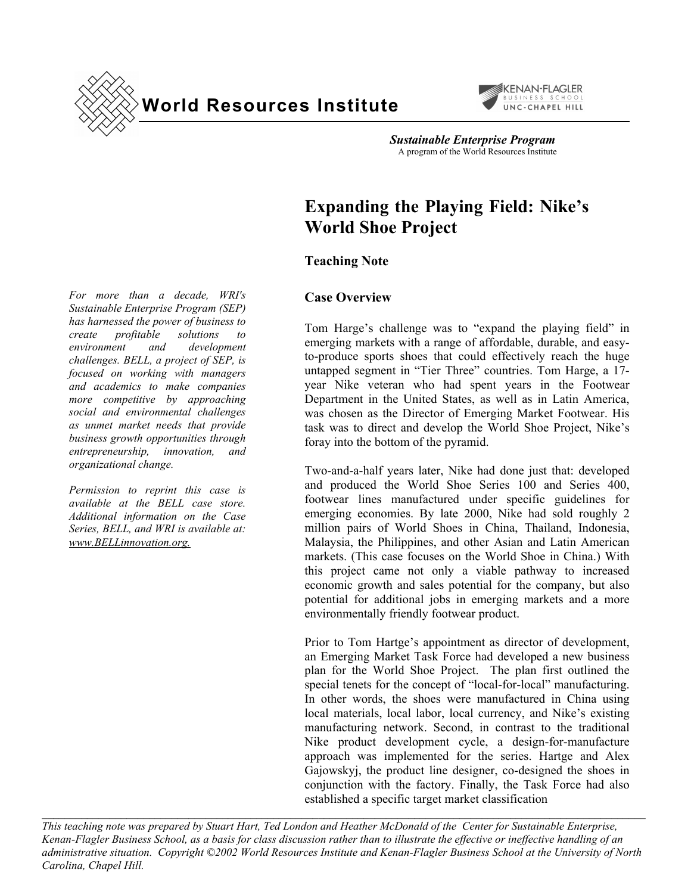



Sustainable Enterprise Program<br>A program of the World Resources Institute

# **Expanding the Playing Field: Nike's World Shoe Project**

# **Teaching Note**

## **Case Overview**

Tom Harge's challenge was to "expand the playing field" in emerging markets with a range of affordable, durable, and easyto-produce sports shoes that could effectively reach the huge untapped segment in "Tier Three" countries. Tom Harge, a 17year Nike veteran who had spent years in the Footwear Department in the United States, as well as in Latin America, was chosen as the Director of Emerging Market Footwear. His task was to direct and develop the World Shoe Project, Nike's foray into the bottom of the pyramid.

Two-and-a-half years later, Nike had done just that: developed and produced the World Shoe Series 100 and Series 400, footwear lines manufactured under specific guidelines for emerging economies. By late 2000, Nike had sold roughly 2 million pairs of World Shoes in China, Thailand, Indonesia, Malaysia, the Philippines, and other Asian and Latin American markets. (This case focuses on the World Shoe in China.) With this project came not only a viable pathway to increased economic growth and sales potential for the company, but also potential for additional jobs in emerging markets and a more environmentally friendly footwear product.

Prior to Tom Hartge's appointment as director of development, an Emerging Market Task Force had developed a new business plan for the World Shoe Project. The plan first outlined the special tenets for the concept of "local-for-local" manufacturing. In other words, the shoes were manufactured in China using local materials, local labor, local currency, and Nike's existing manufacturing network. Second, in contrast to the traditional Nike product development cycle, a design-for-manufacture approach was implemented for the series. Hartge and Alex Gajowskyj, the product line designer, co-designed the shoes in conjunction with the factory. Finally, the Task Force had also established a specific target market classification

*This teaching note was prepared by Stuart Hart, Ted London and Heather McDonald of the Center for Sustainable Enterprise, Kenan-Flagler Business School, as a basis for class discussion rather than to illustrate the effective or ineffective handling of an administrative situation. Copyright ©2002 World Resources Institute and Kenan-Flagler Business School at the University of North Carolina, Chapel Hill.* 

 $\mathcal{L}_\text{max} = \mathcal{L}_\text{max} = \mathcal{L}_\text{max} = \mathcal{L}_\text{max} = \mathcal{L}_\text{max} = \mathcal{L}_\text{max} = \mathcal{L}_\text{max} = \mathcal{L}_\text{max} = \mathcal{L}_\text{max} = \mathcal{L}_\text{max} = \mathcal{L}_\text{max} = \mathcal{L}_\text{max} = \mathcal{L}_\text{max} = \mathcal{L}_\text{max} = \mathcal{L}_\text{max} = \mathcal{L}_\text{max} = \mathcal{L}_\text{max} = \mathcal{L}_\text{max} = \mathcal{$ 

*For more than a decade, WRI's Sustainable Enterprise Program (SEP) has harnessed the power of business to create profitable solutions to environment and development challenges. BELL, a project of SEP, is focused on working with managers and academics to make companies more competitive by approaching social and environmental challenges as unmet market needs that provide business growth opportunities through entrepreneurship, innovation, and organizational change.* 

*Permission to reprint this case is available at the BELL case store. Additional information on the Case Series, BELL, and WRI is available at: www.BELLinnovation.org.*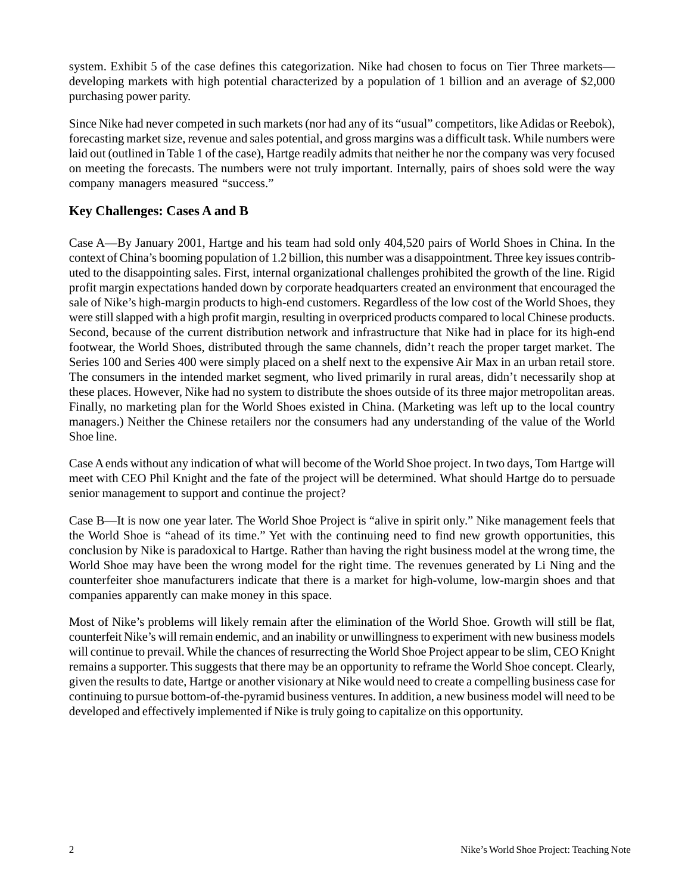system. Exhibit 5 of the case defines this categorization. Nike had chosen to focus on Tier Three markets developing markets with high potential characterized by a population of 1 billion and an average of \$2,000 purchasing power parity.

Since Nike had never competed in such markets (nor had any of its "usual" competitors, like Adidas or Reebok), forecasting market size, revenue and sales potential, and gross margins was a difficult task. While numbers were laid out (outlined in Table 1 of the case), Hartge readily admits that neither he nor the company was very focused on meeting the forecasts. The numbers were not truly important. Internally, pairs of shoes sold were the way company managers measured "success."

## **Key Challenges: Cases A and B**

Case A—By January 2001, Hartge and his team had sold only 404,520 pairs of World Shoes in China. In the context of China's booming population of 1.2 billion, this number was a disappointment. Three key issues contributed to the disappointing sales. First, internal organizational challenges prohibited the growth of the line. Rigid profit margin expectations handed down by corporate headquarters created an environment that encouraged the sale of Nike's high-margin products to high-end customers. Regardless of the low cost of the World Shoes, they were still slapped with a high profit margin, resulting in overpriced products compared to local Chinese products. Second, because of the current distribution network and infrastructure that Nike had in place for its high-end footwear, the World Shoes, distributed through the same channels, didn't reach the proper target market. The Series 100 and Series 400 were simply placed on a shelf next to the expensive Air Max in an urban retail store. The consumers in the intended market segment, who lived primarily in rural areas, didn't necessarily shop at these places. However, Nike had no system to distribute the shoes outside of its three major metropolitan areas. Finally, no marketing plan for the World Shoes existed in China. (Marketing was left up to the local country managers.) Neither the Chinese retailers nor the consumers had any understanding of the value of the World Shoe line.

Case A ends without any indication of what will become of the World Shoe project. In two days, Tom Hartge will meet with CEO Phil Knight and the fate of the project will be determined. What should Hartge do to persuade senior management to support and continue the project?

Case B—It is now one year later. The World Shoe Project is "alive in spirit only." Nike management feels that the World Shoe is "ahead of its time." Yet with the continuing need to find new growth opportunities, this conclusion by Nike is paradoxical to Hartge. Rather than having the right business model at the wrong time, the World Shoe may have been the wrong model for the right time. The revenues generated by Li Ning and the counterfeiter shoe manufacturers indicate that there is a market for high-volume, low-margin shoes and that companies apparently can make money in this space.

Most of Nike's problems will likely remain after the elimination of the World Shoe. Growth will still be flat, counterfeit Nike's will remain endemic, and an inability or unwillingness to experiment with new business models will continue to prevail. While the chances of resurrecting the World Shoe Project appear to be slim, CEO Knight remains a supporter. This suggests that there may be an opportunity to reframe the World Shoe concept. Clearly, given the results to date, Hartge or another visionary at Nike would need to create a compelling business case for continuing to pursue bottom-of-the-pyramid business ventures. In addition, a new business model will need to be developed and effectively implemented if Nike is truly going to capitalize on this opportunity.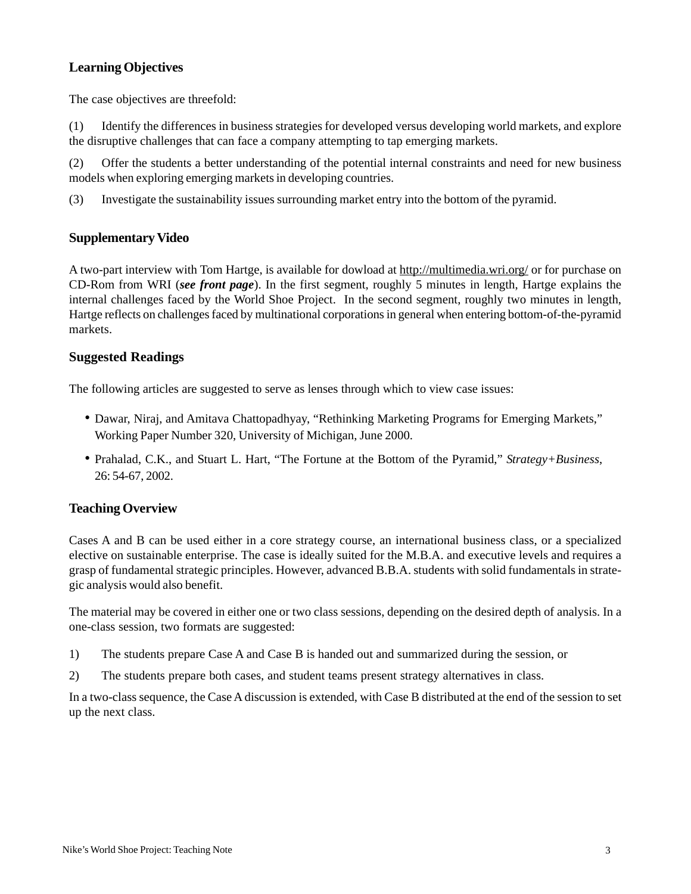## **Learning Objectives**

The case objectives are threefold:

(1) Identify the differences in business strategies for developed versus developing world markets, and explore the disruptive challenges that can face a company attempting to tap emerging markets.

(2) Offer the students a better understanding of the potential internal constraints and need for new business models when exploring emerging markets in developing countries.

(3) Investigate the sustainability issues surrounding market entry into the bottom of the pyramid.

## **Supplementary Video**

A two-part interview with Tom Hartge, is available for dowload at http://multimedia.wri.org/ or for purchase on CD-Rom from WRI (*see front page*). In the first segment, roughly 5 minutes in length, Hartge explains the internal challenges faced by the World Shoe Project. In the second segment, roughly two minutes in length, Hartge reflects on challenges faced by multinational corporations in general when entering bottom-of-the-pyramid markets.

#### **Suggested Readings**

The following articles are suggested to serve as lenses through which to view case issues:

- Dawar, Niraj, and Amitava Chattopadhyay, "Rethinking Marketing Programs for Emerging Markets," Working Paper Number 320, University of Michigan, June 2000.
- Prahalad, C.K., and Stuart L. Hart, "The Fortune at the Bottom of the Pyramid," *Strategy+Business*, 26: 54-67, 2002.

#### **Teaching Overview**

Cases A and B can be used either in a core strategy course, an international business class, or a specialized elective on sustainable enterprise. The case is ideally suited for the M.B.A. and executive levels and requires a grasp of fundamental strategic principles. However, advanced B.B.A. students with solid fundamentals in strategic analysis would also benefit.

The material may be covered in either one or two class sessions, depending on the desired depth of analysis. In a one-class session, two formats are suggested:

- 1) The students prepare Case A and Case B is handed out and summarized during the session, or
- 2) The students prepare both cases, and student teams present strategy alternatives in class.

In a two-class sequence, the Case A discussion is extended, with Case B distributed at the end of the session to set up the next class.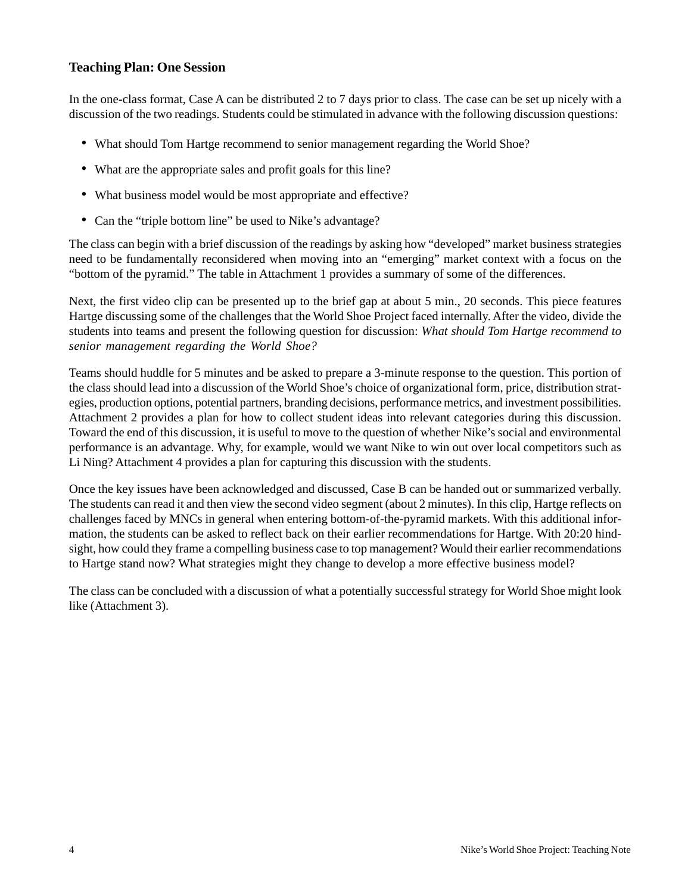## **Teaching Plan: One Session**

In the one-class format, Case A can be distributed 2 to 7 days prior to class. The case can be set up nicely with a discussion of the two readings. Students could be stimulated in advance with the following discussion questions:

- What should Tom Hartge recommend to senior management regarding the World Shoe?
- What are the appropriate sales and profit goals for this line?
- What business model would be most appropriate and effective?
- Can the "triple bottom line" be used to Nike's advantage?

The class can begin with a brief discussion of the readings by asking how "developed" market business strategies need to be fundamentally reconsidered when moving into an "emerging" market context with a focus on the "bottom of the pyramid." The table in Attachment 1 provides a summary of some of the differences.

Next, the first video clip can be presented up to the brief gap at about 5 min., 20 seconds. This piece features Hartge discussing some of the challenges that the World Shoe Project faced internally. After the video, divide the students into teams and present the following question for discussion: *What should Tom Hartge recommend to senior management regarding the World Shoe?*

Teams should huddle for 5 minutes and be asked to prepare a 3-minute response to the question. This portion of the class should lead into a discussion of the World Shoe's choice of organizational form, price, distribution strategies, production options, potential partners, branding decisions, performance metrics, and investment possibilities. Attachment 2 provides a plan for how to collect student ideas into relevant categories during this discussion. Toward the end of this discussion, it is useful to move to the question of whether Nike's social and environmental performance is an advantage. Why, for example, would we want Nike to win out over local competitors such as Li Ning? Attachment 4 provides a plan for capturing this discussion with the students.

Once the key issues have been acknowledged and discussed, Case B can be handed out or summarized verbally. The students can read it and then view the second video segment (about 2 minutes). In this clip, Hartge reflects on challenges faced by MNCs in general when entering bottom-of-the-pyramid markets. With this additional information, the students can be asked to reflect back on their earlier recommendations for Hartge. With 20:20 hindsight, how could they frame a compelling business case to top management? Would their earlier recommendations to Hartge stand now? What strategies might they change to develop a more effective business model?

The class can be concluded with a discussion of what a potentially successful strategy for World Shoe might look like (Attachment 3).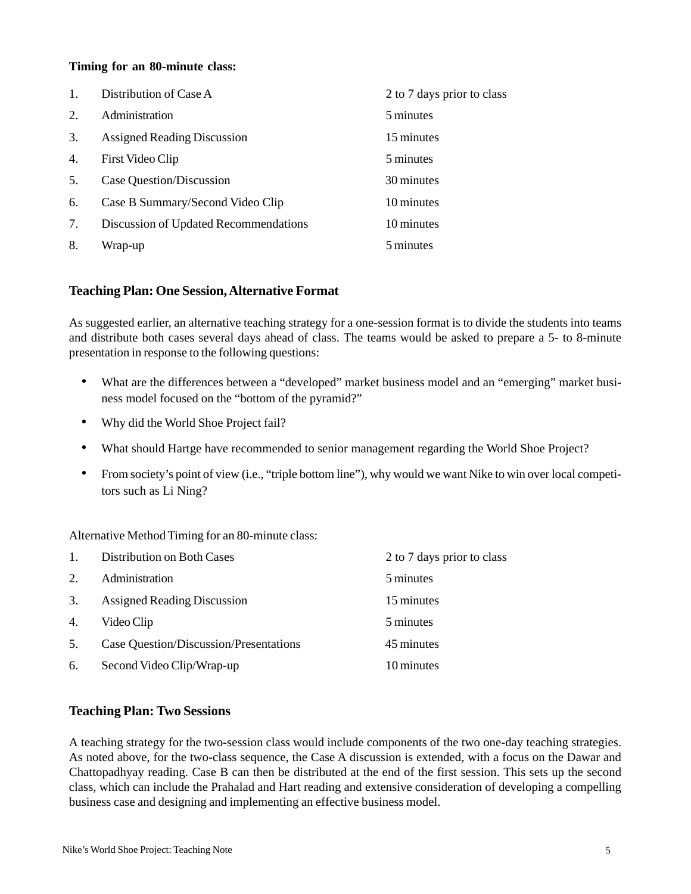#### **Timing for an 80-minute class:**

|    | Distribution of Case A                | 2 to 7 days prior to class |
|----|---------------------------------------|----------------------------|
| 2. | Administration                        | 5 minutes                  |
| 3. | <b>Assigned Reading Discussion</b>    | 15 minutes                 |
| 4. | First Video Clip                      | 5 minutes                  |
| 5. | Case Question/Discussion              | 30 minutes                 |
| 6. | Case B Summary/Second Video Clip      | 10 minutes                 |
| 7. | Discussion of Updated Recommendations | 10 minutes                 |
| 8. | Wrap-up                               | 5 minutes                  |

#### **Teaching Plan: One Session, Alternative Format**

As suggested earlier, an alternative teaching strategy for a one-session format is to divide the students into teams and distribute both cases several days ahead of class. The teams would be asked to prepare a 5- to 8-minute presentation in response to the following questions:

- What are the differences between a "developed" market business model and an "emerging" market business model focused on the "bottom of the pyramid?"
- Why did the World Shoe Project fail?
- What should Hartge have recommended to senior management regarding the World Shoe Project?
- From society's point of view (i.e., "triple bottom line"), why would we want Nike to win over local competitors such as Li Ning?

Alternative Method Timing for an 80-minute class:

| $\overline{1}$ . | Distribution on Both Cases             | 2 to 7 days prior to class |
|------------------|----------------------------------------|----------------------------|
| 2.               | Administration                         | 5 minutes                  |
| 3.               | <b>Assigned Reading Discussion</b>     | 15 minutes                 |
| 4.               | Video Clip                             | 5 minutes                  |
| 5.               | Case Question/Discussion/Presentations | 45 minutes                 |
| 6.               | Second Video Clip/Wrap-up              | 10 minutes                 |

## **Teaching Plan: Two Sessions**

A teaching strategy for the two-session class would include components of the two one-day teaching strategies. As noted above, for the two-class sequence, the Case A discussion is extended, with a focus on the Dawar and Chattopadhyay reading. Case B can then be distributed at the end of the first session. This sets up the second class, which can include the Prahalad and Hart reading and extensive consideration of developing a compelling business case and designing and implementing an effective business model.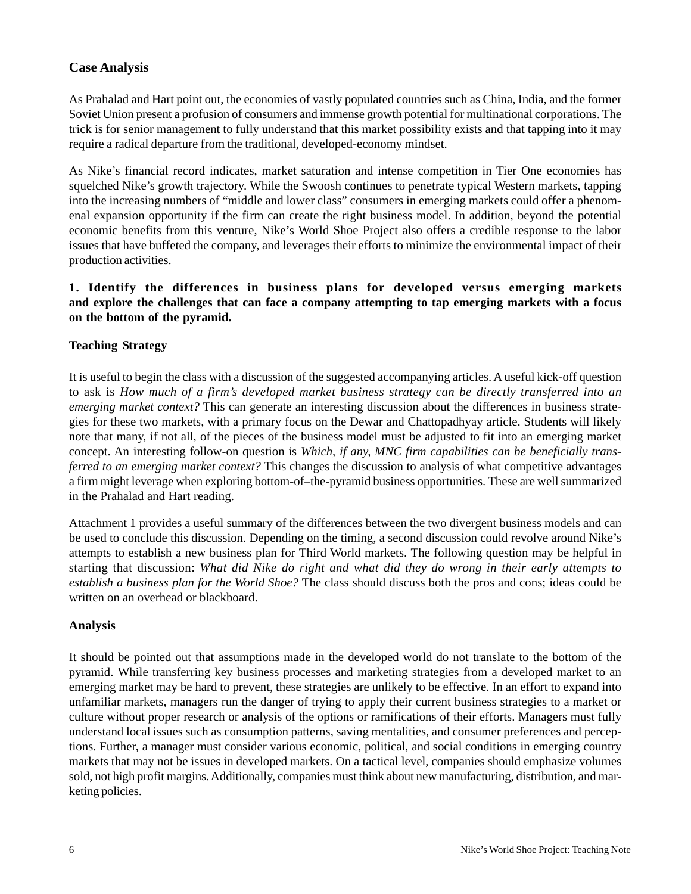# **Case Analysis**

As Prahalad and Hart point out, the economies of vastly populated countries such as China, India, and the former Soviet Union present a profusion of consumers and immense growth potential for multinational corporations. The trick is for senior management to fully understand that this market possibility exists and that tapping into it may require a radical departure from the traditional, developed-economy mindset.

As Nike's financial record indicates, market saturation and intense competition in Tier One economies has squelched Nike's growth trajectory. While the Swoosh continues to penetrate typical Western markets, tapping into the increasing numbers of "middle and lower class" consumers in emerging markets could offer a phenomenal expansion opportunity if the firm can create the right business model. In addition, beyond the potential economic benefits from this venture, Nike's World Shoe Project also offers a credible response to the labor issues that have buffeted the company, and leverages their efforts to minimize the environmental impact of their production activities.

## **1. Identify the differences in business plans for developed versus emerging markets and explore the challenges that can face a company attempting to tap emerging markets with a focus on the bottom of the pyramid.**

## **Teaching Strategy**

It is useful to begin the class with a discussion of the suggested accompanying articles. A useful kick-off question to ask is *How much of a firm's developed market business strategy can be directly transferred into an emerging market context?* This can generate an interesting discussion about the differences in business strategies for these two markets, with a primary focus on the Dewar and Chattopadhyay article. Students will likely note that many, if not all, of the pieces of the business model must be adjusted to fit into an emerging market concept. An interesting follow-on question is *Which, if any, MNC firm capabilities can be beneficially transferred to an emerging market context?* This changes the discussion to analysis of what competitive advantages a firm might leverage when exploring bottom-of–the-pyramid business opportunities. These are well summarized in the Prahalad and Hart reading.

Attachment 1 provides a useful summary of the differences between the two divergent business models and can be used to conclude this discussion. Depending on the timing, a second discussion could revolve around Nike's attempts to establish a new business plan for Third World markets. The following question may be helpful in starting that discussion: *What did Nike do right and what did they do wrong in their early attempts to establish a business plan for the World Shoe?* The class should discuss both the pros and cons; ideas could be written on an overhead or blackboard.

## **Analysis**

It should be pointed out that assumptions made in the developed world do not translate to the bottom of the pyramid. While transferring key business processes and marketing strategies from a developed market to an emerging market may be hard to prevent, these strategies are unlikely to be effective. In an effort to expand into unfamiliar markets, managers run the danger of trying to apply their current business strategies to a market or culture without proper research or analysis of the options or ramifications of their efforts. Managers must fully understand local issues such as consumption patterns, saving mentalities, and consumer preferences and perceptions. Further, a manager must consider various economic, political, and social conditions in emerging country markets that may not be issues in developed markets. On a tactical level, companies should emphasize volumes sold, not high profit margins. Additionally, companies must think about new manufacturing, distribution, and marketing policies.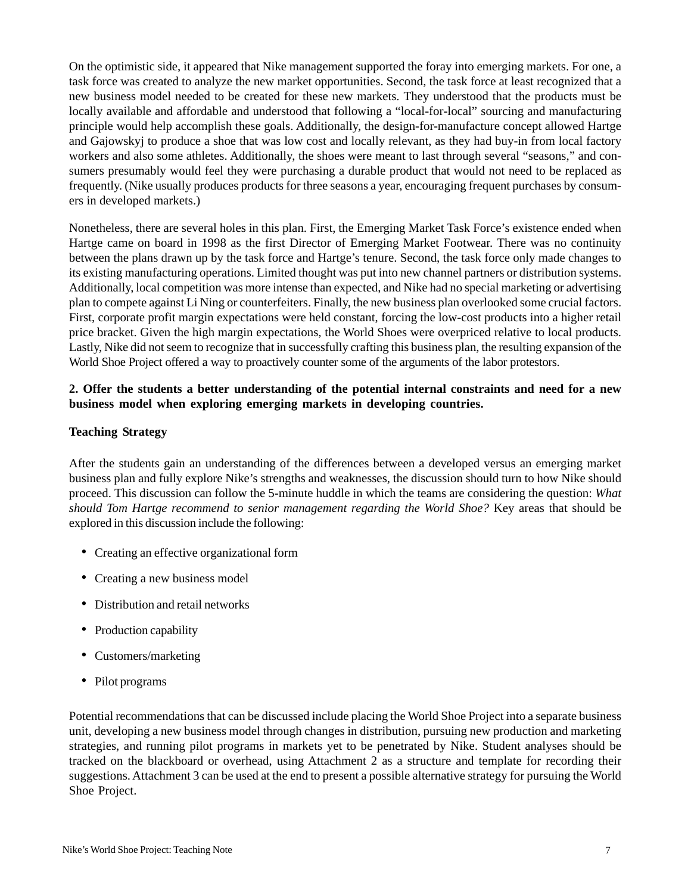On the optimistic side, it appeared that Nike management supported the foray into emerging markets. For one, a task force was created to analyze the new market opportunities. Second, the task force at least recognized that a new business model needed to be created for these new markets. They understood that the products must be locally available and affordable and understood that following a "local-for-local" sourcing and manufacturing principle would help accomplish these goals. Additionally, the design-for-manufacture concept allowed Hartge and Gajowskyj to produce a shoe that was low cost and locally relevant, as they had buy-in from local factory workers and also some athletes. Additionally, the shoes were meant to last through several "seasons," and consumers presumably would feel they were purchasing a durable product that would not need to be replaced as frequently. (Nike usually produces products for three seasons a year, encouraging frequent purchases by consumers in developed markets.)

Nonetheless, there are several holes in this plan. First, the Emerging Market Task Force's existence ended when Hartge came on board in 1998 as the first Director of Emerging Market Footwear. There was no continuity between the plans drawn up by the task force and Hartge's tenure. Second, the task force only made changes to its existing manufacturing operations. Limited thought was put into new channel partners or distribution systems. Additionally, local competition was more intense than expected, and Nike had no special marketing or advertising plan to compete against Li Ning or counterfeiters. Finally, the new business plan overlooked some crucial factors. First, corporate profit margin expectations were held constant, forcing the low-cost products into a higher retail price bracket. Given the high margin expectations, the World Shoes were overpriced relative to local products. Lastly, Nike did not seem to recognize that in successfully crafting this business plan, the resulting expansion of the World Shoe Project offered a way to proactively counter some of the arguments of the labor protestors.

#### **2. Offer the students a better understanding of the potential internal constraints and need for a new business model when exploring emerging markets in developing countries.**

#### **Teaching Strategy**

After the students gain an understanding of the differences between a developed versus an emerging market business plan and fully explore Nike's strengths and weaknesses, the discussion should turn to how Nike should proceed. This discussion can follow the 5-minute huddle in which the teams are considering the question: *What should Tom Hartge recommend to senior management regarding the World Shoe?* Key areas that should be explored in this discussion include the following:

- Creating an effective organizational form
- Creating a new business model
- Distribution and retail networks
- Production capability
- Customers/marketing
- Pilot programs

Potential recommendations that can be discussed include placing the World Shoe Project into a separate business unit, developing a new business model through changes in distribution, pursuing new production and marketing strategies, and running pilot programs in markets yet to be penetrated by Nike. Student analyses should be tracked on the blackboard or overhead, using Attachment 2 as a structure and template for recording their suggestions. Attachment 3 can be used at the end to present a possible alternative strategy for pursuing the World Shoe Project.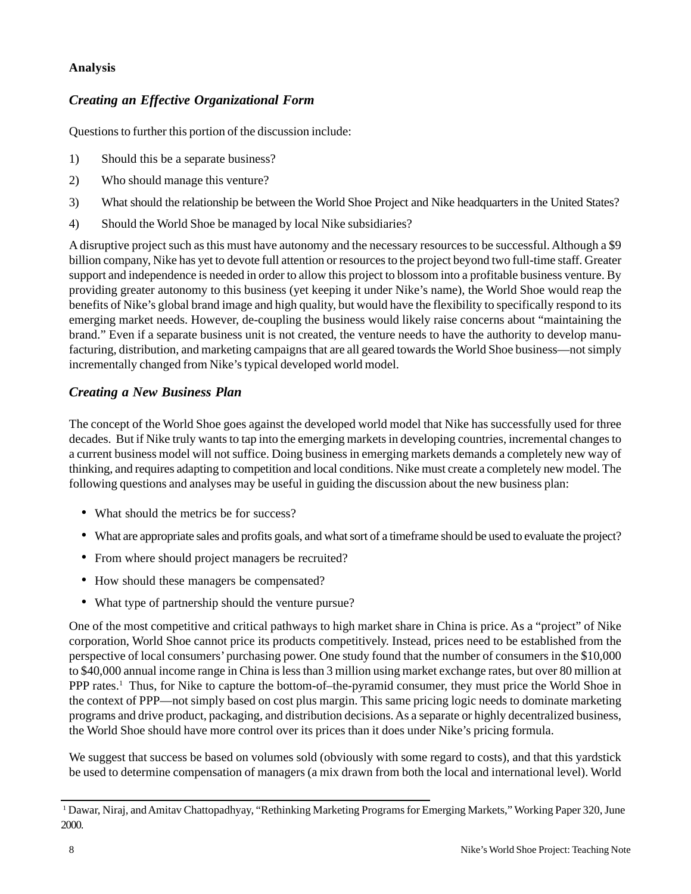## **Analysis**

# *Creating an Effective Organizational Form*

Questions to further this portion of the discussion include:

- 1) Should this be a separate business?
- 2) Who should manage this venture?
- 3) What should the relationship be between the World Shoe Project and Nike headquarters in the United States?
- 4) Should the World Shoe be managed by local Nike subsidiaries?

A disruptive project such as this must have autonomy and the necessary resources to be successful. Although a \$9 billion company, Nike has yet to devote full attention or resources to the project beyond two full-time staff. Greater support and independence is needed in order to allow this project to blossom into a profitable business venture. By providing greater autonomy to this business (yet keeping it under Nike's name), the World Shoe would reap the benefits of Nike's global brand image and high quality, but would have the flexibility to specifically respond to its emerging market needs. However, de-coupling the business would likely raise concerns about "maintaining the brand." Even if a separate business unit is not created, the venture needs to have the authority to develop manufacturing, distribution, and marketing campaigns that are all geared towards the World Shoe business—not simply incrementally changed from Nike's typical developed world model.

# *Creating a New Business Plan*

The concept of the World Shoe goes against the developed world model that Nike has successfully used for three decades. But if Nike truly wants to tap into the emerging markets in developing countries, incremental changes to a current business model will not suffice. Doing business in emerging markets demands a completely new way of thinking, and requires adapting to competition and local conditions. Nike must create a completely new model. The following questions and analyses may be useful in guiding the discussion about the new business plan:

- What should the metrics be for success?
- What are appropriate sales and profits goals, and what sort of a timeframe should be used to evaluate the project?
- From where should project managers be recruited?
- How should these managers be compensated?
- What type of partnership should the venture pursue?

One of the most competitive and critical pathways to high market share in China is price. As a "project" of Nike corporation, World Shoe cannot price its products competitively. Instead, prices need to be established from the perspective of local consumers' purchasing power. One study found that the number of consumers in the \$10,000 to \$40,000 annual income range in China is less than 3 million using market exchange rates, but over 80 million at PPP rates.<sup>1</sup> Thus, for Nike to capture the bottom-of–the-pyramid consumer, they must price the World Shoe in the context of PPP—not simply based on cost plus margin. This same pricing logic needs to dominate marketing programs and drive product, packaging, and distribution decisions. As a separate or highly decentralized business, the World Shoe should have more control over its prices than it does under Nike's pricing formula.

We suggest that success be based on volumes sold (obviously with some regard to costs), and that this yardstick be used to determine compensation of managers (a mix drawn from both the local and international level). World

<sup>1</sup> Dawar, Niraj, and Amitav Chattopadhyay, "Rethinking Marketing Programs for Emerging Markets," Working Paper 320, June 2000.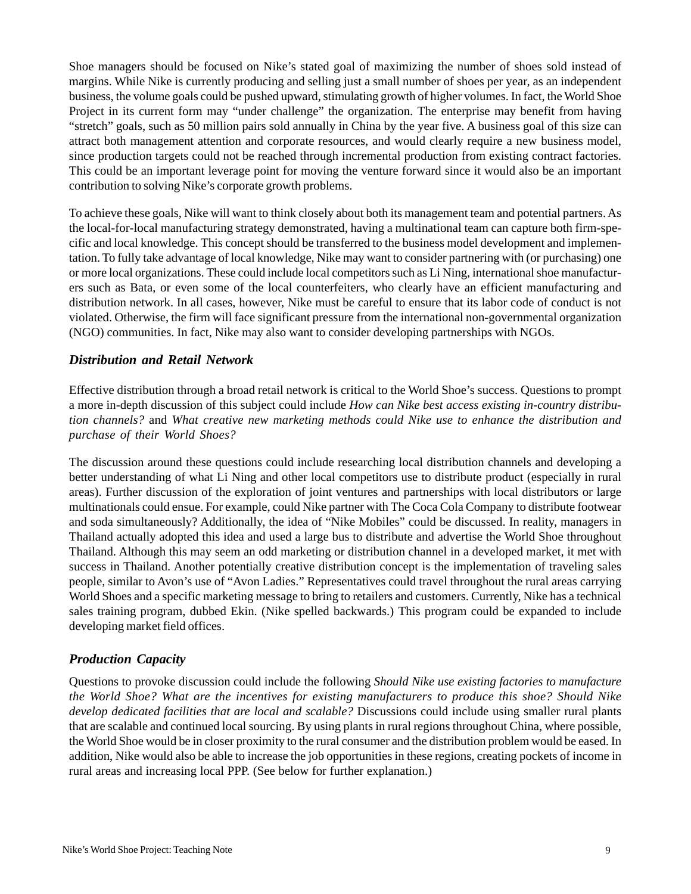Shoe managers should be focused on Nike's stated goal of maximizing the number of shoes sold instead of margins. While Nike is currently producing and selling just a small number of shoes per year, as an independent business, the volume goals could be pushed upward, stimulating growth of higher volumes. In fact, the World Shoe Project in its current form may "under challenge" the organization. The enterprise may benefit from having "stretch" goals, such as 50 million pairs sold annually in China by the year five. A business goal of this size can attract both management attention and corporate resources, and would clearly require a new business model, since production targets could not be reached through incremental production from existing contract factories. This could be an important leverage point for moving the venture forward since it would also be an important contribution to solving Nike's corporate growth problems.

To achieve these goals, Nike will want to think closely about both its management team and potential partners. As the local-for-local manufacturing strategy demonstrated, having a multinational team can capture both firm-specific and local knowledge. This concept should be transferred to the business model development and implementation. To fully take advantage of local knowledge, Nike may want to consider partnering with (or purchasing) one or more local organizations. These could include local competitors such as Li Ning, international shoe manufacturers such as Bata, or even some of the local counterfeiters, who clearly have an efficient manufacturing and distribution network. In all cases, however, Nike must be careful to ensure that its labor code of conduct is not violated. Otherwise, the firm will face significant pressure from the international non-governmental organization (NGO) communities. In fact, Nike may also want to consider developing partnerships with NGOs.

## *Distribution and Retail Network*

Effective distribution through a broad retail network is critical to the World Shoe's success. Questions to prompt a more in-depth discussion of this subject could include *How can Nike best access existing in-country distribution channels?* and *What creative new marketing methods could Nike use to enhance the distribution and purchase of their World Shoes?*

The discussion around these questions could include researching local distribution channels and developing a better understanding of what Li Ning and other local competitors use to distribute product (especially in rural areas). Further discussion of the exploration of joint ventures and partnerships with local distributors or large multinationals could ensue. For example, could Nike partner with The Coca Cola Company to distribute footwear and soda simultaneously? Additionally, the idea of "Nike Mobiles" could be discussed. In reality, managers in Thailand actually adopted this idea and used a large bus to distribute and advertise the World Shoe throughout Thailand. Although this may seem an odd marketing or distribution channel in a developed market, it met with success in Thailand. Another potentially creative distribution concept is the implementation of traveling sales people, similar to Avon's use of "Avon Ladies." Representatives could travel throughout the rural areas carrying World Shoes and a specific marketing message to bring to retailers and customers. Currently, Nike has a technical sales training program, dubbed Ekin. (Nike spelled backwards.) This program could be expanded to include developing market field offices.

# *Production Capacity*

Questions to provoke discussion could include the following *Should Nike use existing factories to manufacture the World Shoe? What are the incentives for existing manufacturers to produce this shoe? Should Nike develop dedicated facilities that are local and scalable?* Discussions could include using smaller rural plants that are scalable and continued local sourcing. By using plants in rural regions throughout China, where possible, the World Shoe would be in closer proximity to the rural consumer and the distribution problem would be eased. In addition, Nike would also be able to increase the job opportunities in these regions, creating pockets of income in rural areas and increasing local PPP. (See below for further explanation.)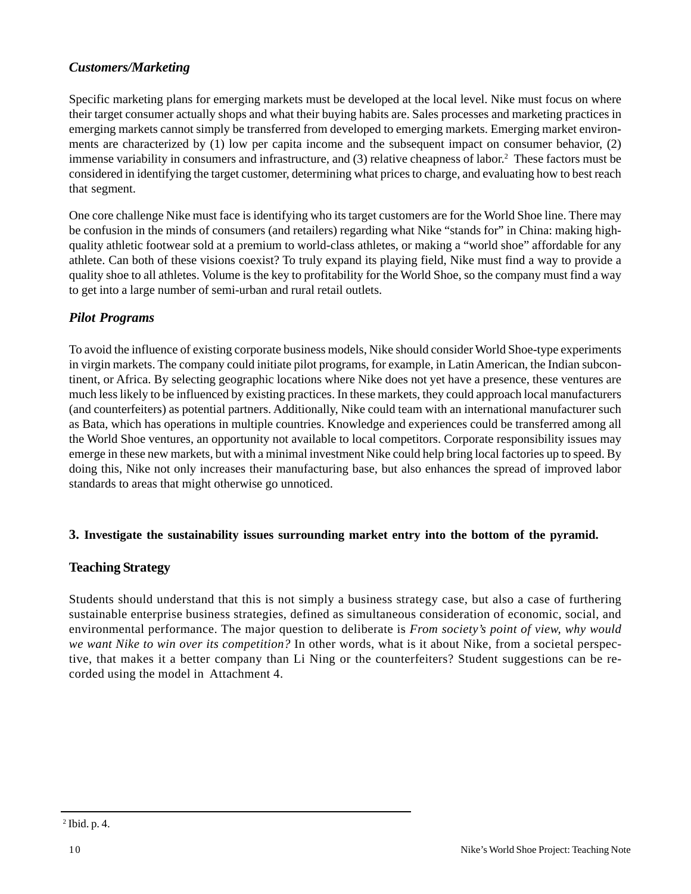# *Customers/Marketing*

Specific marketing plans for emerging markets must be developed at the local level. Nike must focus on where their target consumer actually shops and what their buying habits are. Sales processes and marketing practices in emerging markets cannot simply be transferred from developed to emerging markets. Emerging market environments are characterized by (1) low per capita income and the subsequent impact on consumer behavior, (2) immense variability in consumers and infrastructure, and (3) relative cheapness of labor.<sup>2</sup> These factors must be considered in identifying the target customer, determining what prices to charge, and evaluating how to best reach that segment.

One core challenge Nike must face is identifying who its target customers are for the World Shoe line. There may be confusion in the minds of consumers (and retailers) regarding what Nike "stands for" in China: making highquality athletic footwear sold at a premium to world-class athletes, or making a "world shoe" affordable for any athlete. Can both of these visions coexist? To truly expand its playing field, Nike must find a way to provide a quality shoe to all athletes. Volume is the key to profitability for the World Shoe, so the company must find a way to get into a large number of semi-urban and rural retail outlets.

# *Pilot Programs*

To avoid the influence of existing corporate business models, Nike should consider World Shoe-type experiments in virgin markets. The company could initiate pilot programs, for example, in Latin American, the Indian subcontinent, or Africa. By selecting geographic locations where Nike does not yet have a presence, these ventures are much less likely to be influenced by existing practices. In these markets, they could approach local manufacturers (and counterfeiters) as potential partners. Additionally, Nike could team with an international manufacturer such as Bata, which has operations in multiple countries. Knowledge and experiences could be transferred among all the World Shoe ventures, an opportunity not available to local competitors. Corporate responsibility issues may emerge in these new markets, but with a minimal investment Nike could help bring local factories up to speed. By doing this, Nike not only increases their manufacturing base, but also enhances the spread of improved labor standards to areas that might otherwise go unnoticed.

## **3. Investigate the sustainability issues surrounding market entry into the bottom of the pyramid.**

## **Teaching Strategy**

Students should understand that this is not simply a business strategy case, but also a case of furthering sustainable enterprise business strategies, defined as simultaneous consideration of economic, social, and environmental performance. The major question to deliberate is *From society's point of view, why would we want Nike to win over its competition?* In other words, what is it about Nike, from a societal perspective, that makes it a better company than Li Ning or the counterfeiters? Student suggestions can be recorded using the model in Attachment 4.

<sup>2</sup> Ibid. p. 4.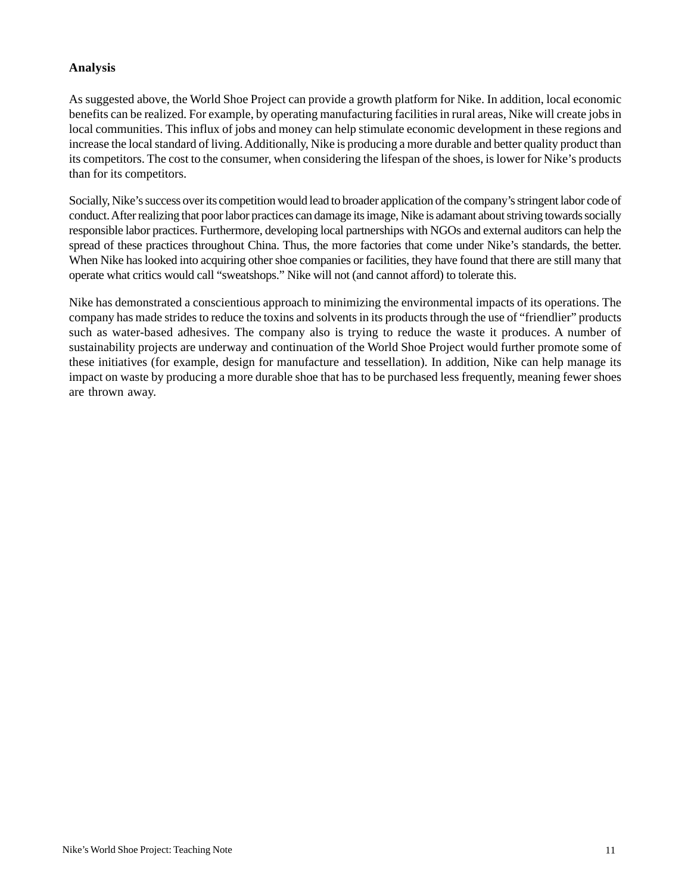#### **Analysis**

As suggested above, the World Shoe Project can provide a growth platform for Nike. In addition, local economic benefits can be realized. For example, by operating manufacturing facilities in rural areas, Nike will create jobs in local communities. This influx of jobs and money can help stimulate economic development in these regions and increase the local standard of living. Additionally, Nike is producing a more durable and better quality product than its competitors. The cost to the consumer, when considering the lifespan of the shoes, is lower for Nike's products than for its competitors.

Socially, Nike's success over its competition would lead to broader application of the company's stringent labor code of conduct. After realizing that poor labor practices can damage its image, Nike is adamant about striving towards socially responsible labor practices. Furthermore, developing local partnerships with NGOs and external auditors can help the spread of these practices throughout China. Thus, the more factories that come under Nike's standards, the better. When Nike has looked into acquiring other shoe companies or facilities, they have found that there are still many that operate what critics would call "sweatshops." Nike will not (and cannot afford) to tolerate this.

Nike has demonstrated a conscientious approach to minimizing the environmental impacts of its operations. The company has made strides to reduce the toxins and solvents in its products through the use of "friendlier" products such as water-based adhesives. The company also is trying to reduce the waste it produces. A number of sustainability projects are underway and continuation of the World Shoe Project would further promote some of these initiatives (for example, design for manufacture and tessellation). In addition, Nike can help manage its impact on waste by producing a more durable shoe that has to be purchased less frequently, meaning fewer shoes are thrown away.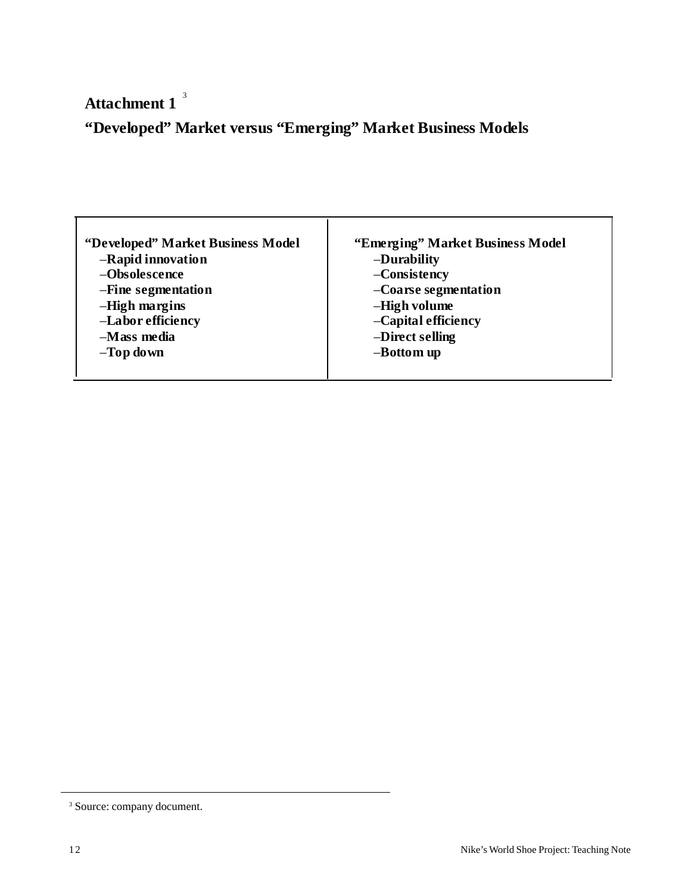3 **Attachment 1**

# **"Developed" Market versus "Emerging" Market Business Models**

| "Developed" Market Business Model | "Emerging" Market Business Model |
|-----------------------------------|----------------------------------|
| -Rapid innovation                 | -Durability                      |
| -Obsolescence                     | -Consistency                     |
| -Fine segmentation                | -Coarse segmentation             |
| -High margins                     | -High volume                     |
| -Labor efficiency                 | -Capital efficiency              |
| $-M$ ass media                    | -Direct selling                  |
| $-Top$ down                       | -Bottom up                       |
|                                   |                                  |

<sup>3</sup> Source: company document.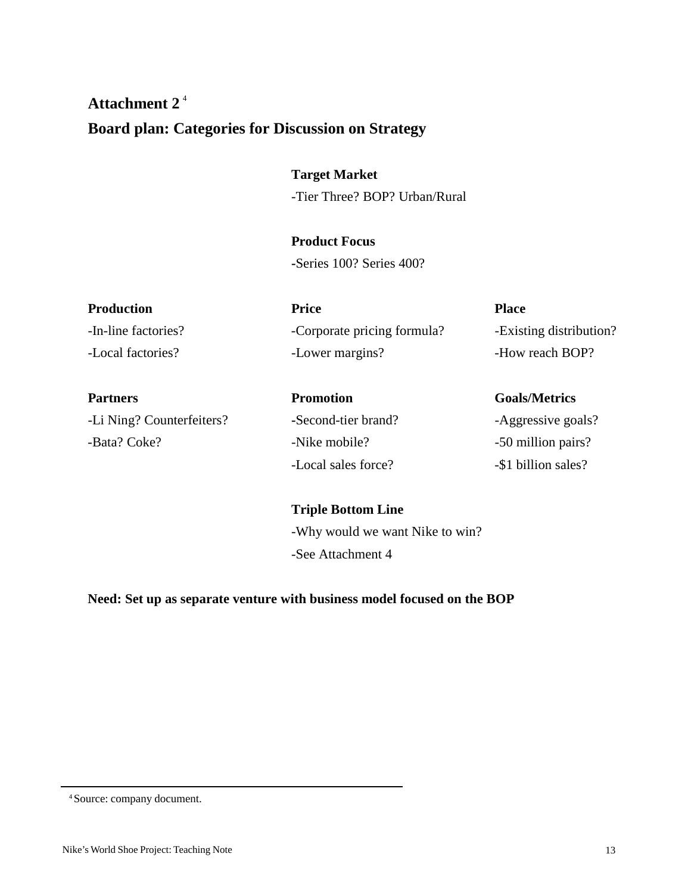# **Attachment 2** 4 **Board plan: Categories for Discussion on Strategy**

**Target Market** -Tier Three? BOP? Urban/Rural

**Product Focus -**Series 100? Series 400?

| Production          | <b>Price</b>                | <b>Place</b>            |
|---------------------|-----------------------------|-------------------------|
| -In-line factories? | -Corporate pricing formula? | -Existing distribution? |
| -Local factories?   | -Lower margins?             | -How reach BOP?         |
|                     |                             |                         |

-Li Ning? Counterfeiters? **-**Second-tier brand? -Aggressive goals? -Bata? Coke? -Nike mobile? -50 million pairs?

-Local sales force? -\$1 billion sales?

# Partners **Promotion** Promotion Goals/Metrics

**Triple Bottom Line** -Why would we want Nike to win? -See Attachment 4

**Need: Set up as separate venture with business model focused on the BOP**

4 Source: company document.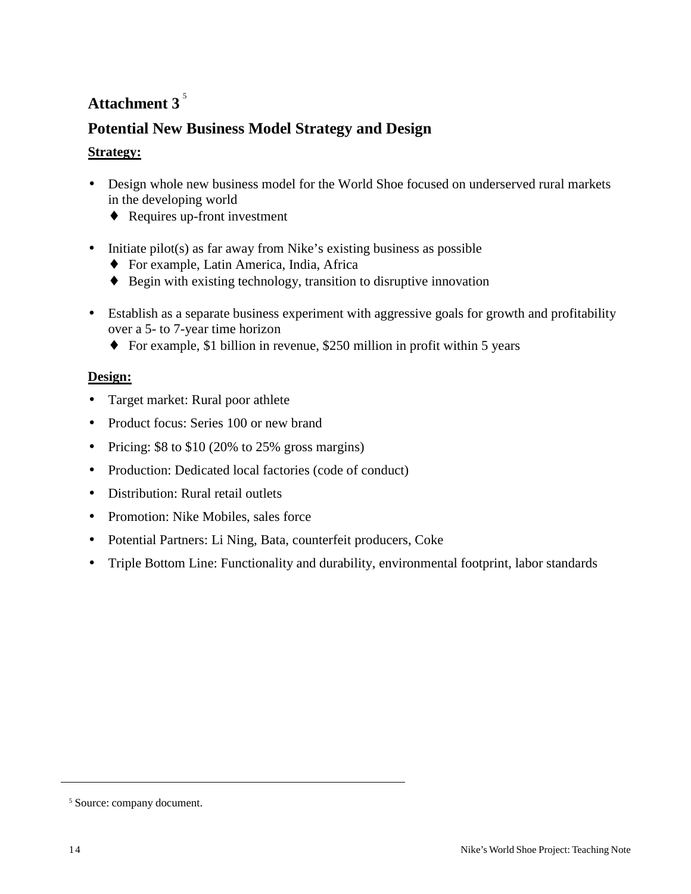# **Attachment 3** 5

# **Potential New Business Model Strategy and Design**

# **Strategy:**

- Design whole new business model for the World Shoe focused on underserved rural markets in the developing world
	- ♦ Requires up-front investment
- Initiate pilot(s) as far away from Nike's existing business as possible
	- ♦ For example, Latin America, India, Africa
	- ♦ Begin with existing technology, transition to disruptive innovation
- Establish as a separate business experiment with aggressive goals for growth and profitability over a 5- to 7-year time horizon
	- ♦ For example, \$1 billion in revenue, \$250 million in profit within 5 years

# **Design:**

- Target market: Rural poor athlete
- Product focus: Series 100 or new brand
- Pricing: \$8 to \$10 (20% to 25% gross margins)
- Production: Dedicated local factories (code of conduct)
- Distribution: Rural retail outlets
- Promotion: Nike Mobiles, sales force
- Potential Partners: Li Ning, Bata, counterfeit producers, Coke
- Triple Bottom Line: Functionality and durability, environmental footprint, labor standards

<sup>5</sup> Source: company document.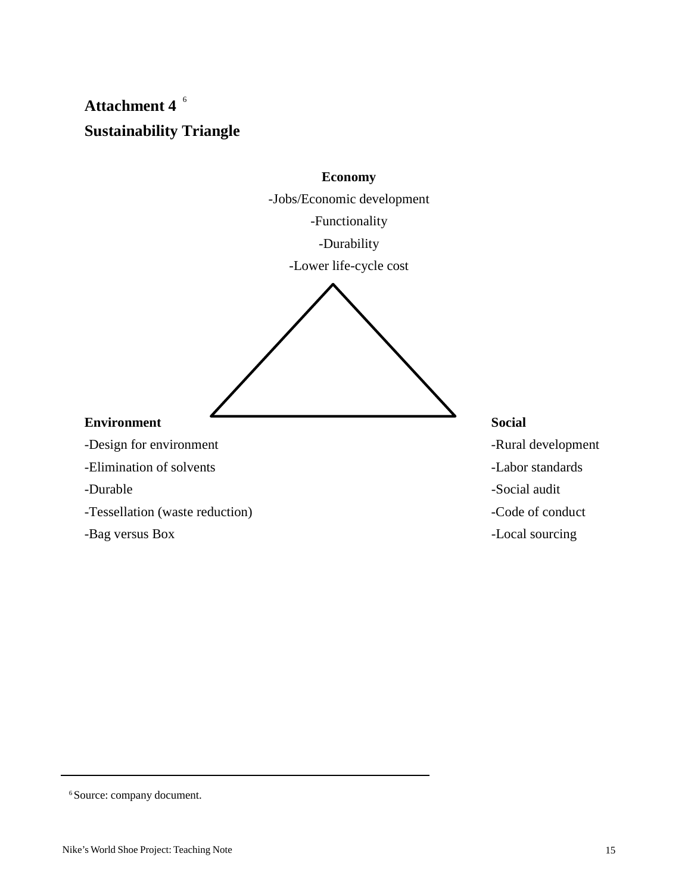# **Attachment 4** 6 **Sustainability Triangle**



6 Source: company document.